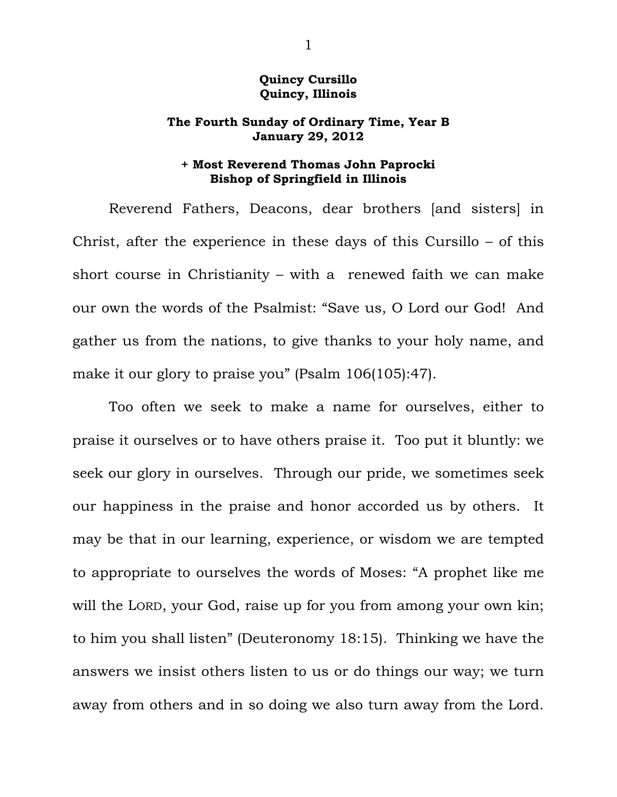## **Quincy Cursillo Quincy, Illinois**

## **The Fourth Sunday of Ordinary Time, Year B January 29, 2012**

## **+ Most Reverend Thomas John Paprocki Bishop of Springfield in Illinois**

 Reverend Fathers, Deacons, dear brothers [and sisters] in Christ, after the experience in these days of this Cursillo – of this short course in Christianity – with a renewed faith we can make our own the words of the Psalmist: "Save us, O Lord our God! And gather us from the nations, to give thanks to your holy name, and make it our glory to praise you" (Psalm 106(105):47).

 Too often we seek to make a name for ourselves, either to praise it ourselves or to have others praise it. Too put it bluntly: we seek our glory in ourselves. Through our pride, we sometimes seek our happiness in the praise and honor accorded us by others. It may be that in our learning, experience, or wisdom we are tempted to appropriate to ourselves the words of Moses: "A prophet like me will the LORD, your God, raise up for you from among your own kin; to him you shall listen" (Deuteronomy 18:15). Thinking we have the answers we insist others listen to us or do things our way; we turn away from others and in so doing we also turn away from the Lord.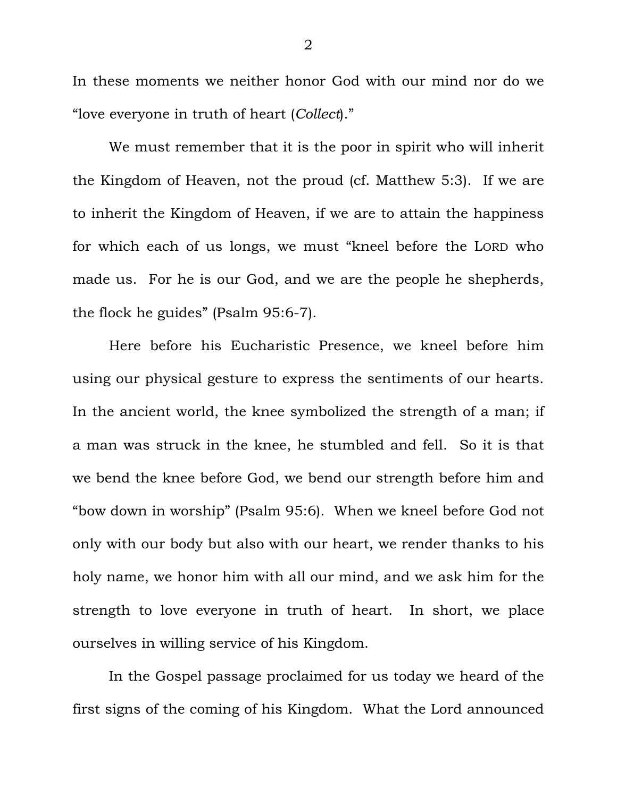In these moments we neither honor God with our mind nor do we "love everyone in truth of heart (*Collect*)."

 We must remember that it is the poor in spirit who will inherit the Kingdom of Heaven, not the proud (cf. Matthew 5:3). If we are to inherit the Kingdom of Heaven, if we are to attain the happiness for which each of us longs, we must "kneel before the LORD who made us. For he is our God, and we are the people he shepherds, the flock he guides" (Psalm 95:6-7).

 Here before his Eucharistic Presence, we kneel before him using our physical gesture to express the sentiments of our hearts. In the ancient world, the knee symbolized the strength of a man; if a man was struck in the knee, he stumbled and fell. So it is that we bend the knee before God, we bend our strength before him and "bow down in worship" (Psalm 95:6). When we kneel before God not only with our body but also with our heart, we render thanks to his holy name, we honor him with all our mind, and we ask him for the strength to love everyone in truth of heart. In short, we place ourselves in willing service of his Kingdom.

 In the Gospel passage proclaimed for us today we heard of the first signs of the coming of his Kingdom. What the Lord announced

2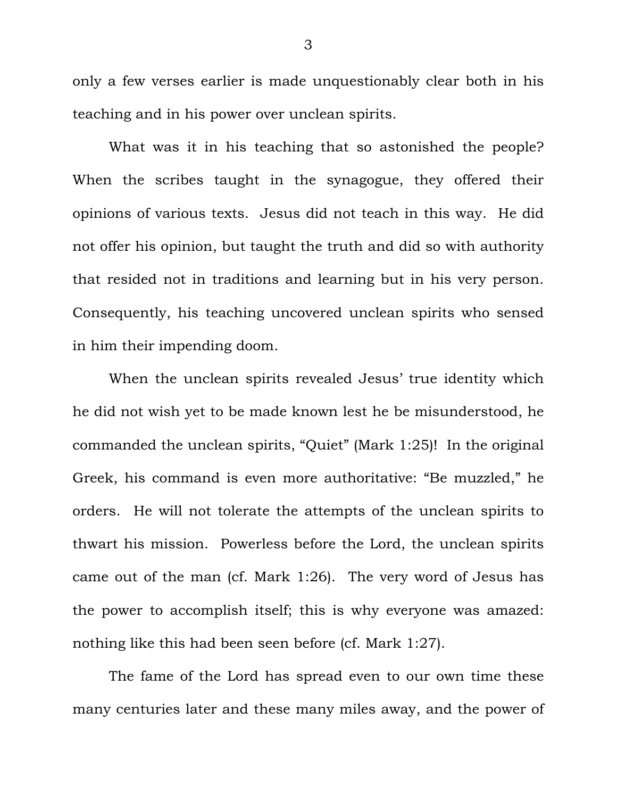only a few verses earlier is made unquestionably clear both in his teaching and in his power over unclean spirits.

 What was it in his teaching that so astonished the people? When the scribes taught in the synagogue, they offered their opinions of various texts. Jesus did not teach in this way. He did not offer his opinion, but taught the truth and did so with authority that resided not in traditions and learning but in his very person. Consequently, his teaching uncovered unclean spirits who sensed in him their impending doom.

 When the unclean spirits revealed Jesus' true identity which he did not wish yet to be made known lest he be misunderstood, he commanded the unclean spirits, "Quiet" (Mark 1:25)! In the original Greek, his command is even more authoritative: "Be muzzled," he orders. He will not tolerate the attempts of the unclean spirits to thwart his mission. Powerless before the Lord, the unclean spirits came out of the man (cf. Mark 1:26). The very word of Jesus has the power to accomplish itself; this is why everyone was amazed: nothing like this had been seen before (cf. Mark 1:27).

 The fame of the Lord has spread even to our own time these many centuries later and these many miles away, and the power of

3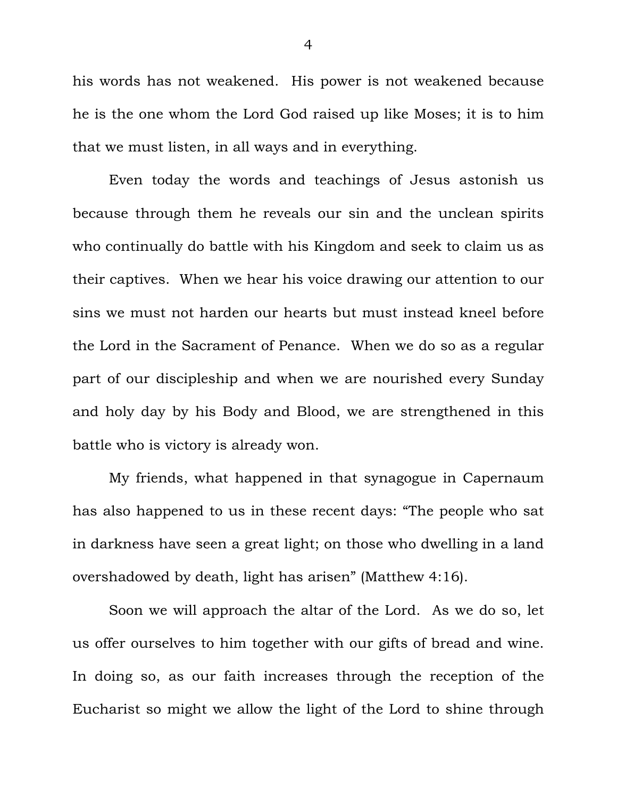his words has not weakened. His power is not weakened because he is the one whom the Lord God raised up like Moses; it is to him that we must listen, in all ways and in everything.

 Even today the words and teachings of Jesus astonish us because through them he reveals our sin and the unclean spirits who continually do battle with his Kingdom and seek to claim us as their captives. When we hear his voice drawing our attention to our sins we must not harden our hearts but must instead kneel before the Lord in the Sacrament of Penance. When we do so as a regular part of our discipleship and when we are nourished every Sunday and holy day by his Body and Blood, we are strengthened in this battle who is victory is already won.

 My friends, what happened in that synagogue in Capernaum has also happened to us in these recent days: "The people who sat in darkness have seen a great light; on those who dwelling in a land overshadowed by death, light has arisen" (Matthew 4:16).

 Soon we will approach the altar of the Lord. As we do so, let us offer ourselves to him together with our gifts of bread and wine. In doing so, as our faith increases through the reception of the Eucharist so might we allow the light of the Lord to shine through

4